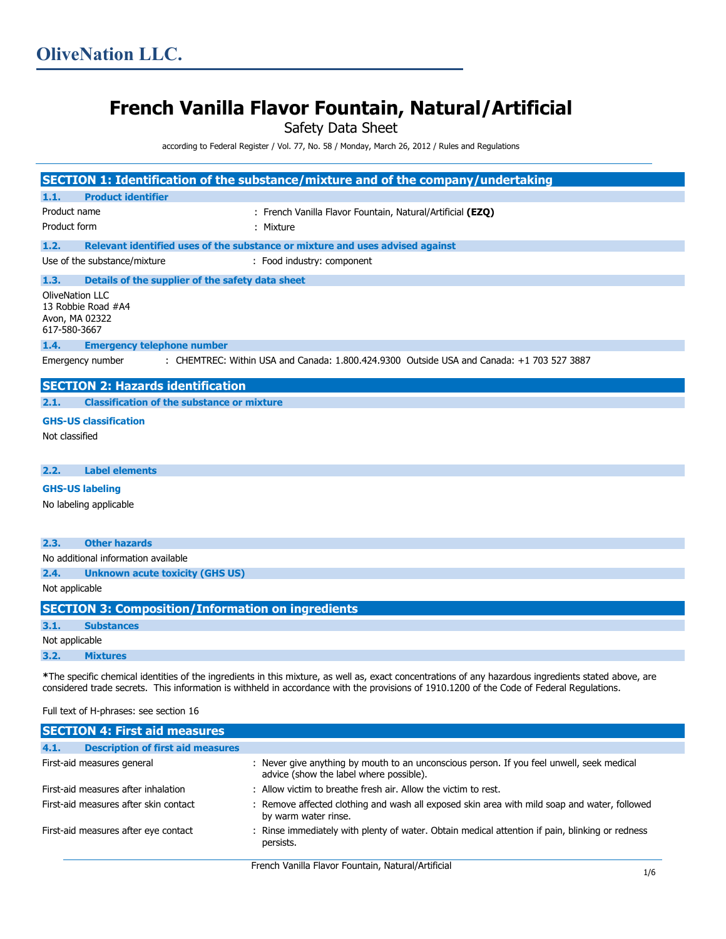# **French Vanilla Flavor Fountain, Natural/Artificial**

Safety Data Sheet

according to Federal Register / Vol. 77, No. 58 / Monday, March 26, 2012 / Rules and Regulations

|                                                                                                               |                                                                                | SECTION 1: Identification of the substance/mixture and of the company/undertaking |  |
|---------------------------------------------------------------------------------------------------------------|--------------------------------------------------------------------------------|-----------------------------------------------------------------------------------|--|
| 1.1.                                                                                                          | <b>Product identifier</b>                                                      |                                                                                   |  |
| Product name                                                                                                  |                                                                                | : French Vanilla Flavor Fountain, Natural/Artificial (EZQ)                        |  |
| Product form                                                                                                  |                                                                                | : Mixture                                                                         |  |
| 1.2.                                                                                                          |                                                                                | Relevant identified uses of the substance or mixture and uses advised against     |  |
|                                                                                                               | Use of the substance/mixture                                                   | : Food industry: component                                                        |  |
| 1.3.                                                                                                          | Details of the supplier of the safety data sheet                               |                                                                                   |  |
|                                                                                                               | <b>OliveNation LLC</b><br>13 Robbie Road #A4<br>Avon, MA 02322<br>617-580-3667 |                                                                                   |  |
| 1.4.                                                                                                          | <b>Emergency telephone number</b>                                              |                                                                                   |  |
| : CHEMTREC: Within USA and Canada: 1.800.424.9300 Outside USA and Canada: +1 703 527 3887<br>Emergency number |                                                                                |                                                                                   |  |
|                                                                                                               | <b>SECTION 2: Hazards identification</b>                                       |                                                                                   |  |
| 2.1.                                                                                                          | <b>Classification of the substance or mixture</b>                              |                                                                                   |  |
|                                                                                                               | <b>GHS-US classification</b>                                                   |                                                                                   |  |
| Not classified                                                                                                |                                                                                |                                                                                   |  |
| 2.2.                                                                                                          | <b>Label elements</b>                                                          |                                                                                   |  |
|                                                                                                               |                                                                                |                                                                                   |  |
|                                                                                                               |                                                                                |                                                                                   |  |
|                                                                                                               | <b>GHS-US labeling</b><br>No labeling applicable                               |                                                                                   |  |
| 2.3.                                                                                                          | <b>Other hazards</b>                                                           |                                                                                   |  |
|                                                                                                               | No additional information available                                            |                                                                                   |  |
| 2.4.                                                                                                          | <b>Unknown acute toxicity (GHS US)</b>                                         |                                                                                   |  |

| <b>SECTION 3: Composition/Information on ingredients</b> |
|----------------------------------------------------------|
|----------------------------------------------------------|

| 3.1. | <b>Substances</b> |
|------|-------------------|
|      |                   |

#### Not applicable

**3.2. Mixtures**

**\***The specific chemical identities of the ingredients in this mixture, as well as, exact concentrations of any hazardous ingredients stated above, are considered trade secrets. This information is withheld in accordance with the provisions of 1910.1200 of the Code of Federal Regulations.

# Full text of H-phrases: see section 16

| <b>SECTION 4: First aid measures</b>             |                                                                                                                                      |  |
|--------------------------------------------------|--------------------------------------------------------------------------------------------------------------------------------------|--|
| 4.1.<br><b>Description of first aid measures</b> |                                                                                                                                      |  |
| First-aid measures general                       | : Never give anything by mouth to an unconscious person. If you feel unwell, seek medical<br>advice (show the label where possible). |  |
| First-aid measures after inhalation              | : Allow victim to breathe fresh air. Allow the victim to rest.                                                                       |  |
| First-aid measures after skin contact            | : Remove affected clothing and wash all exposed skin area with mild soap and water, followed<br>by warm water rinse.                 |  |
| First-aid measures after eye contact             | : Rinse immediately with plenty of water. Obtain medical attention if pain, blinking or redness<br>persists.                         |  |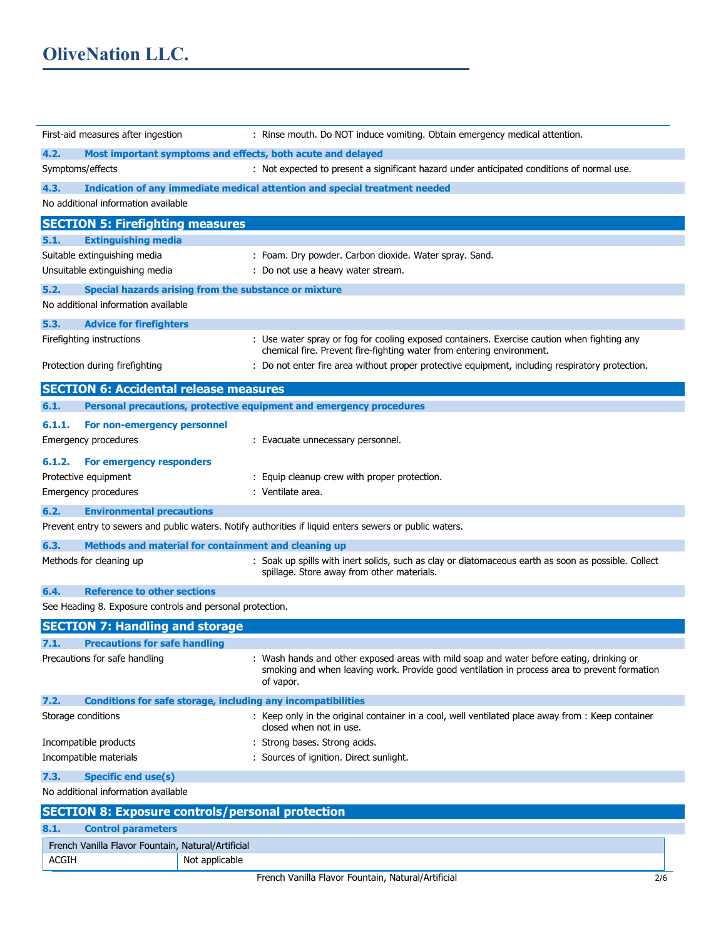# **OliveNation LLC.**

| First-aid measures after ingestion                        | : Rinse mouth. Do NOT induce vomiting. Obtain emergency medical attention.                                                                                                                            |  |
|-----------------------------------------------------------|-------------------------------------------------------------------------------------------------------------------------------------------------------------------------------------------------------|--|
| 4.2.                                                      | Most important symptoms and effects, both acute and delayed                                                                                                                                           |  |
| Symptoms/effects                                          | : Not expected to present a significant hazard under anticipated conditions of normal use.                                                                                                            |  |
| 4.3.                                                      | Indication of any immediate medical attention and special treatment needed                                                                                                                            |  |
| No additional information available                       |                                                                                                                                                                                                       |  |
| <b>SECTION 5: Firefighting measures</b>                   |                                                                                                                                                                                                       |  |
| 5.1.<br><b>Extinguishing media</b>                        |                                                                                                                                                                                                       |  |
| Suitable extinguishing media                              | : Foam. Dry powder. Carbon dioxide. Water spray. Sand.                                                                                                                                                |  |
| Unsuitable extinguishing media                            | : Do not use a heavy water stream.                                                                                                                                                                    |  |
| 5.2.                                                      | Special hazards arising from the substance or mixture                                                                                                                                                 |  |
| No additional information available                       |                                                                                                                                                                                                       |  |
| 5.3.<br><b>Advice for firefighters</b>                    |                                                                                                                                                                                                       |  |
| Firefighting instructions                                 | : Use water spray or fog for cooling exposed containers. Exercise caution when fighting any<br>chemical fire. Prevent fire-fighting water from entering environment.                                  |  |
| Protection during firefighting                            | : Do not enter fire area without proper protective equipment, including respiratory protection.                                                                                                       |  |
| <b>SECTION 6: Accidental release measures</b>             |                                                                                                                                                                                                       |  |
| 6.1.                                                      | Personal precautions, protective equipment and emergency procedures                                                                                                                                   |  |
| 6.1.1.<br>For non-emergency personnel                     |                                                                                                                                                                                                       |  |
| Emergency procedures                                      | : Evacuate unnecessary personnel.                                                                                                                                                                     |  |
| 6.1.2.<br>For emergency responders                        |                                                                                                                                                                                                       |  |
| Protective equipment                                      | : Equip cleanup crew with proper protection.                                                                                                                                                          |  |
| Emergency procedures                                      | : Ventilate area.                                                                                                                                                                                     |  |
| 6.2.<br><b>Environmental precautions</b>                  |                                                                                                                                                                                                       |  |
|                                                           | Prevent entry to sewers and public waters. Notify authorities if liquid enters sewers or public waters.                                                                                               |  |
| 6.3.                                                      | Methods and material for containment and cleaning up                                                                                                                                                  |  |
| Methods for cleaning up                                   | : Soak up spills with inert solids, such as clay or diatomaceous earth as soon as possible. Collect<br>spillage. Store away from other materials.                                                     |  |
| 6.4.<br><b>Reference to other sections</b>                |                                                                                                                                                                                                       |  |
| See Heading 8. Exposure controls and personal protection. |                                                                                                                                                                                                       |  |
| <b>SECTION 7: Handling and storage</b>                    |                                                                                                                                                                                                       |  |
| 7.1.<br><b>Precautions for safe handling</b>              |                                                                                                                                                                                                       |  |
| Precautions for safe handling                             | : Wash hands and other exposed areas with mild soap and water before eating, drinking or<br>smoking and when leaving work. Provide good ventilation in process area to prevent formation<br>of vapor. |  |
| 7.2.                                                      | <b>Conditions for safe storage, including any incompatibilities</b>                                                                                                                                   |  |
| Storage conditions                                        | : Keep only in the original container in a cool, well ventilated place away from : Keep container<br>closed when not in use.                                                                          |  |
| Incompatible products                                     | : Strong bases. Strong acids.                                                                                                                                                                         |  |
| Incompatible materials                                    | : Sources of ignition. Direct sunlight.                                                                                                                                                               |  |
| 7.3.<br><b>Specific end use(s)</b>                        |                                                                                                                                                                                                       |  |
| No additional information available                       |                                                                                                                                                                                                       |  |
|                                                           | <b>SECTION 8: Exposure controls/personal protection</b>                                                                                                                                               |  |
| <b>Control parameters</b><br>8.1.                         |                                                                                                                                                                                                       |  |
| French Vanilla Flavor Fountain, Natural/Artificial        |                                                                                                                                                                                                       |  |
| <b>ACGIH</b>                                              | Not applicable                                                                                                                                                                                        |  |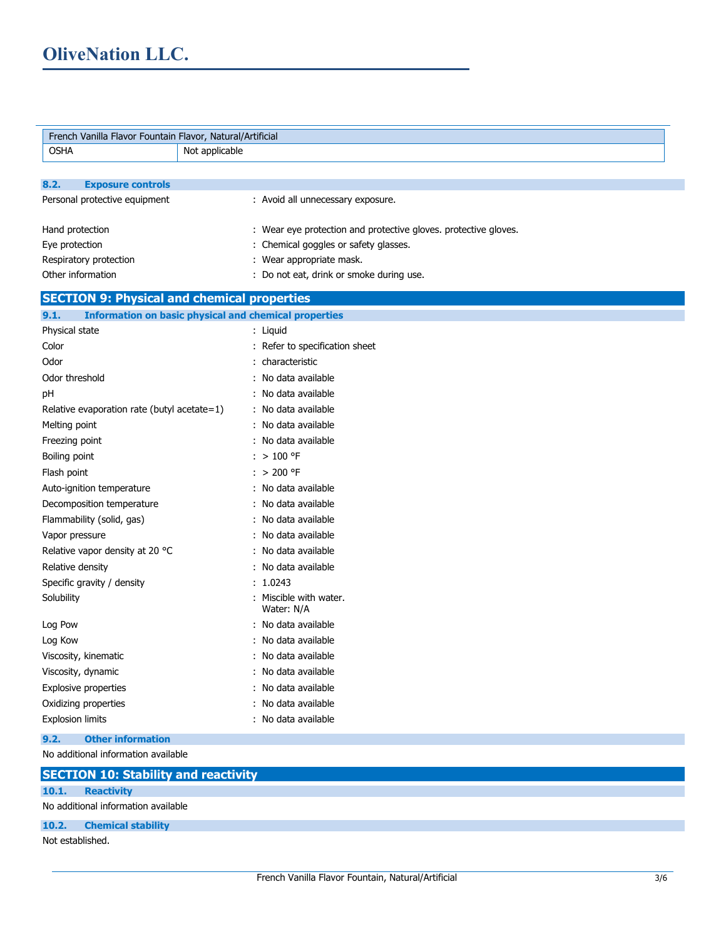| French Vanilla Flavor Fountain Flavor, Natural/Artificial            |                                                                 |  |
|----------------------------------------------------------------------|-----------------------------------------------------------------|--|
| <b>OSHA</b><br>Not applicable                                        |                                                                 |  |
|                                                                      |                                                                 |  |
| 8.2.<br><b>Exposure controls</b>                                     |                                                                 |  |
| Personal protective equipment                                        | : Avoid all unnecessary exposure.                               |  |
|                                                                      |                                                                 |  |
| Hand protection                                                      | : Wear eye protection and protective gloves. protective gloves. |  |
| Eye protection                                                       | : Chemical goggles or safety glasses.                           |  |
| Respiratory protection                                               | : Wear appropriate mask.                                        |  |
| Other information                                                    | : Do not eat, drink or smoke during use.                        |  |
| <b>SECTION 9: Physical and chemical properties</b>                   |                                                                 |  |
| <b>Information on basic physical and chemical properties</b><br>9.1. |                                                                 |  |
| Physical state                                                       | : Liquid                                                        |  |
| Color                                                                | : Refer to specification sheet                                  |  |
| Odor                                                                 | : characteristic                                                |  |
| Odor threshold                                                       | : No data available                                             |  |
| pH                                                                   | : No data available                                             |  |
| Relative evaporation rate (butyl acetate=1)                          | : No data available                                             |  |
| Melting point                                                        | : No data available                                             |  |
| Freezing point                                                       | : No data available                                             |  |
| Boiling point                                                        | $:$ > 100 °F                                                    |  |
| Flash point                                                          | $: > 200$ °F                                                    |  |
| Auto-ignition temperature                                            | : No data available                                             |  |
| Decomposition temperature                                            | : No data available                                             |  |
| Flammability (solid, gas)                                            | : No data available                                             |  |
| Vapor pressure                                                       | : No data available                                             |  |
| Relative vapor density at 20 °C                                      | : No data available                                             |  |
| Relative density                                                     | : No data available                                             |  |
| Specific gravity / density                                           | : 1.0243                                                        |  |
| Solubility                                                           | : Miscible with water.<br>Water: N/A                            |  |
| Log Pow                                                              | : No data available                                             |  |
| Log Kow                                                              | : No data available                                             |  |
| Viscosity, kinematic                                                 | : No data available                                             |  |
| Viscosity, dynamic                                                   | : No data available                                             |  |
| <b>Explosive properties</b>                                          | : No data available                                             |  |
| Oxidizing properties                                                 | : No data available                                             |  |
| <b>Explosion limits</b>                                              | : No data available                                             |  |
| 9.2.<br><b>Other information</b>                                     |                                                                 |  |
| No additional information available                                  |                                                                 |  |
| <b>SECTION 10: Stability and reactivity</b>                          |                                                                 |  |
| 10.1.<br><b>Reactivity</b>                                           |                                                                 |  |
| No additional information available                                  |                                                                 |  |
| 10.2.<br><b>Chemical stability</b>                                   |                                                                 |  |
| Not established.                                                     |                                                                 |  |
|                                                                      |                                                                 |  |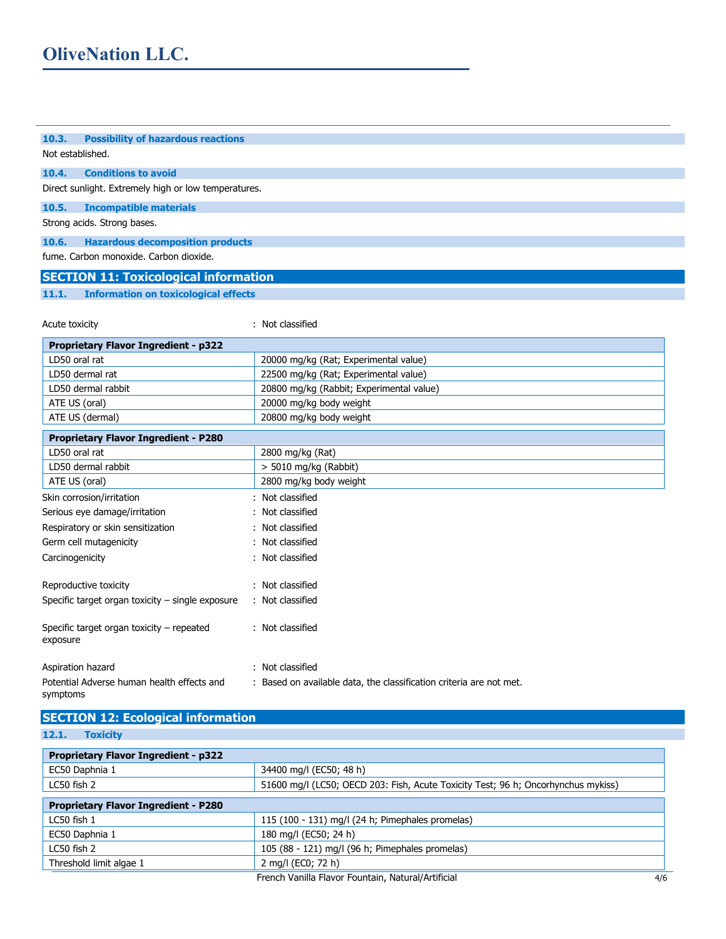| <b>Possibility of hazardous reactions</b><br>Not established.<br><b>Conditions to avoid</b><br>Direct sunlight. Extremely high or low temperatures.<br><b>Incompatible materials</b><br><b>Hazardous decomposition products</b><br><b>SECTION 11: Toxicological information</b><br><b>Information on toxicological effects</b><br>: Not classified<br><b>Proprietary Flavor Ingredient - p322</b><br>LD50 oral rat<br>20000 mg/kg (Rat; Experimental value)<br>LD50 dermal rat<br>22500 mg/kg (Rat; Experimental value)<br>20800 mg/kg (Rabbit; Experimental value)<br>LD50 dermal rabbit<br>20000 mg/kg body weight<br>ATE US (oral)<br>20800 mg/kg body weight<br>ATE US (dermal)<br><b>Proprietary Flavor Ingredient - P280</b><br>LD50 oral rat<br>2800 mg/kg (Rat)<br>LD50 dermal rabbit<br>> 5010 mg/kg (Rabbit)<br>ATE US (oral)<br>2800 mg/kg body weight<br>: Not classified<br>Skin corrosion/irritation<br>Not classified<br>Serious eye damage/irritation<br>Respiratory or skin sensitization<br>: Not classified<br>Germ cell mutagenicity<br>: Not classified<br>: Not classified<br>Carcinogenicity<br>: Not classified<br>: Not classified<br>: Not classified<br>: Not classified<br>: Based on available data, the classification criteria are not met.<br><b>SECTION 12: Ecological information</b> |                                                       |  |  |
|-------------------------------------------------------------------------------------------------------------------------------------------------------------------------------------------------------------------------------------------------------------------------------------------------------------------------------------------------------------------------------------------------------------------------------------------------------------------------------------------------------------------------------------------------------------------------------------------------------------------------------------------------------------------------------------------------------------------------------------------------------------------------------------------------------------------------------------------------------------------------------------------------------------------------------------------------------------------------------------------------------------------------------------------------------------------------------------------------------------------------------------------------------------------------------------------------------------------------------------------------------------------------------------------------------------------------|-------------------------------------------------------|--|--|
|                                                                                                                                                                                                                                                                                                                                                                                                                                                                                                                                                                                                                                                                                                                                                                                                                                                                                                                                                                                                                                                                                                                                                                                                                                                                                                                         | 10.3.                                                 |  |  |
|                                                                                                                                                                                                                                                                                                                                                                                                                                                                                                                                                                                                                                                                                                                                                                                                                                                                                                                                                                                                                                                                                                                                                                                                                                                                                                                         |                                                       |  |  |
|                                                                                                                                                                                                                                                                                                                                                                                                                                                                                                                                                                                                                                                                                                                                                                                                                                                                                                                                                                                                                                                                                                                                                                                                                                                                                                                         | 10.4.                                                 |  |  |
|                                                                                                                                                                                                                                                                                                                                                                                                                                                                                                                                                                                                                                                                                                                                                                                                                                                                                                                                                                                                                                                                                                                                                                                                                                                                                                                         |                                                       |  |  |
|                                                                                                                                                                                                                                                                                                                                                                                                                                                                                                                                                                                                                                                                                                                                                                                                                                                                                                                                                                                                                                                                                                                                                                                                                                                                                                                         | 10.5.                                                 |  |  |
|                                                                                                                                                                                                                                                                                                                                                                                                                                                                                                                                                                                                                                                                                                                                                                                                                                                                                                                                                                                                                                                                                                                                                                                                                                                                                                                         | Strong acids. Strong bases.                           |  |  |
|                                                                                                                                                                                                                                                                                                                                                                                                                                                                                                                                                                                                                                                                                                                                                                                                                                                                                                                                                                                                                                                                                                                                                                                                                                                                                                                         | 10.6.                                                 |  |  |
|                                                                                                                                                                                                                                                                                                                                                                                                                                                                                                                                                                                                                                                                                                                                                                                                                                                                                                                                                                                                                                                                                                                                                                                                                                                                                                                         | fume. Carbon monoxide. Carbon dioxide.                |  |  |
|                                                                                                                                                                                                                                                                                                                                                                                                                                                                                                                                                                                                                                                                                                                                                                                                                                                                                                                                                                                                                                                                                                                                                                                                                                                                                                                         |                                                       |  |  |
|                                                                                                                                                                                                                                                                                                                                                                                                                                                                                                                                                                                                                                                                                                                                                                                                                                                                                                                                                                                                                                                                                                                                                                                                                                                                                                                         | 11.1.                                                 |  |  |
|                                                                                                                                                                                                                                                                                                                                                                                                                                                                                                                                                                                                                                                                                                                                                                                                                                                                                                                                                                                                                                                                                                                                                                                                                                                                                                                         |                                                       |  |  |
|                                                                                                                                                                                                                                                                                                                                                                                                                                                                                                                                                                                                                                                                                                                                                                                                                                                                                                                                                                                                                                                                                                                                                                                                                                                                                                                         | Acute toxicity                                        |  |  |
|                                                                                                                                                                                                                                                                                                                                                                                                                                                                                                                                                                                                                                                                                                                                                                                                                                                                                                                                                                                                                                                                                                                                                                                                                                                                                                                         |                                                       |  |  |
|                                                                                                                                                                                                                                                                                                                                                                                                                                                                                                                                                                                                                                                                                                                                                                                                                                                                                                                                                                                                                                                                                                                                                                                                                                                                                                                         |                                                       |  |  |
|                                                                                                                                                                                                                                                                                                                                                                                                                                                                                                                                                                                                                                                                                                                                                                                                                                                                                                                                                                                                                                                                                                                                                                                                                                                                                                                         |                                                       |  |  |
|                                                                                                                                                                                                                                                                                                                                                                                                                                                                                                                                                                                                                                                                                                                                                                                                                                                                                                                                                                                                                                                                                                                                                                                                                                                                                                                         |                                                       |  |  |
|                                                                                                                                                                                                                                                                                                                                                                                                                                                                                                                                                                                                                                                                                                                                                                                                                                                                                                                                                                                                                                                                                                                                                                                                                                                                                                                         |                                                       |  |  |
|                                                                                                                                                                                                                                                                                                                                                                                                                                                                                                                                                                                                                                                                                                                                                                                                                                                                                                                                                                                                                                                                                                                                                                                                                                                                                                                         |                                                       |  |  |
|                                                                                                                                                                                                                                                                                                                                                                                                                                                                                                                                                                                                                                                                                                                                                                                                                                                                                                                                                                                                                                                                                                                                                                                                                                                                                                                         |                                                       |  |  |
|                                                                                                                                                                                                                                                                                                                                                                                                                                                                                                                                                                                                                                                                                                                                                                                                                                                                                                                                                                                                                                                                                                                                                                                                                                                                                                                         |                                                       |  |  |
|                                                                                                                                                                                                                                                                                                                                                                                                                                                                                                                                                                                                                                                                                                                                                                                                                                                                                                                                                                                                                                                                                                                                                                                                                                                                                                                         |                                                       |  |  |
|                                                                                                                                                                                                                                                                                                                                                                                                                                                                                                                                                                                                                                                                                                                                                                                                                                                                                                                                                                                                                                                                                                                                                                                                                                                                                                                         |                                                       |  |  |
|                                                                                                                                                                                                                                                                                                                                                                                                                                                                                                                                                                                                                                                                                                                                                                                                                                                                                                                                                                                                                                                                                                                                                                                                                                                                                                                         |                                                       |  |  |
|                                                                                                                                                                                                                                                                                                                                                                                                                                                                                                                                                                                                                                                                                                                                                                                                                                                                                                                                                                                                                                                                                                                                                                                                                                                                                                                         |                                                       |  |  |
|                                                                                                                                                                                                                                                                                                                                                                                                                                                                                                                                                                                                                                                                                                                                                                                                                                                                                                                                                                                                                                                                                                                                                                                                                                                                                                                         |                                                       |  |  |
|                                                                                                                                                                                                                                                                                                                                                                                                                                                                                                                                                                                                                                                                                                                                                                                                                                                                                                                                                                                                                                                                                                                                                                                                                                                                                                                         |                                                       |  |  |
|                                                                                                                                                                                                                                                                                                                                                                                                                                                                                                                                                                                                                                                                                                                                                                                                                                                                                                                                                                                                                                                                                                                                                                                                                                                                                                                         |                                                       |  |  |
|                                                                                                                                                                                                                                                                                                                                                                                                                                                                                                                                                                                                                                                                                                                                                                                                                                                                                                                                                                                                                                                                                                                                                                                                                                                                                                                         |                                                       |  |  |
|                                                                                                                                                                                                                                                                                                                                                                                                                                                                                                                                                                                                                                                                                                                                                                                                                                                                                                                                                                                                                                                                                                                                                                                                                                                                                                                         | Reproductive toxicity                                 |  |  |
|                                                                                                                                                                                                                                                                                                                                                                                                                                                                                                                                                                                                                                                                                                                                                                                                                                                                                                                                                                                                                                                                                                                                                                                                                                                                                                                         | Specific target organ toxicity - single exposure      |  |  |
|                                                                                                                                                                                                                                                                                                                                                                                                                                                                                                                                                                                                                                                                                                                                                                                                                                                                                                                                                                                                                                                                                                                                                                                                                                                                                                                         |                                                       |  |  |
|                                                                                                                                                                                                                                                                                                                                                                                                                                                                                                                                                                                                                                                                                                                                                                                                                                                                                                                                                                                                                                                                                                                                                                                                                                                                                                                         | Specific target organ toxicity - repeated<br>exposure |  |  |
|                                                                                                                                                                                                                                                                                                                                                                                                                                                                                                                                                                                                                                                                                                                                                                                                                                                                                                                                                                                                                                                                                                                                                                                                                                                                                                                         | Aspiration hazard                                     |  |  |
|                                                                                                                                                                                                                                                                                                                                                                                                                                                                                                                                                                                                                                                                                                                                                                                                                                                                                                                                                                                                                                                                                                                                                                                                                                                                                                                         | Potential Adverse human health effects and            |  |  |
|                                                                                                                                                                                                                                                                                                                                                                                                                                                                                                                                                                                                                                                                                                                                                                                                                                                                                                                                                                                                                                                                                                                                                                                                                                                                                                                         | symptoms                                              |  |  |
|                                                                                                                                                                                                                                                                                                                                                                                                                                                                                                                                                                                                                                                                                                                                                                                                                                                                                                                                                                                                                                                                                                                                                                                                                                                                                                                         |                                                       |  |  |

**12.1. Toxicity**

| <b>Proprietary Flavor Ingredient - p322</b> |                                                                                   |  |
|---------------------------------------------|-----------------------------------------------------------------------------------|--|
| EC50 Daphnia 1                              | 34400 mg/l (EC50; 48 h)                                                           |  |
| LC50 fish 2                                 | 51600 mg/l (LC50; OECD 203: Fish, Acute Toxicity Test; 96 h; Oncorhynchus mykiss) |  |
| <b>Proprietary Flavor Ingredient - P280</b> |                                                                                   |  |
| $LC50$ fish $1$                             | 115 (100 - 131) mg/l (24 h; Pimephales promelas)                                  |  |
| EC50 Daphnia 1                              | 180 mg/l (EC50; 24 h)                                                             |  |
| $LC50$ fish $2$                             | 105 (88 - 121) mg/l (96 h; Pimephales promelas)                                   |  |
| Threshold limit algae 1                     | 2 mg/l (EC0; 72 h)                                                                |  |
|                                             | French Vanilla Flavor Fountain, Natural/Artificial<br>4/6                         |  |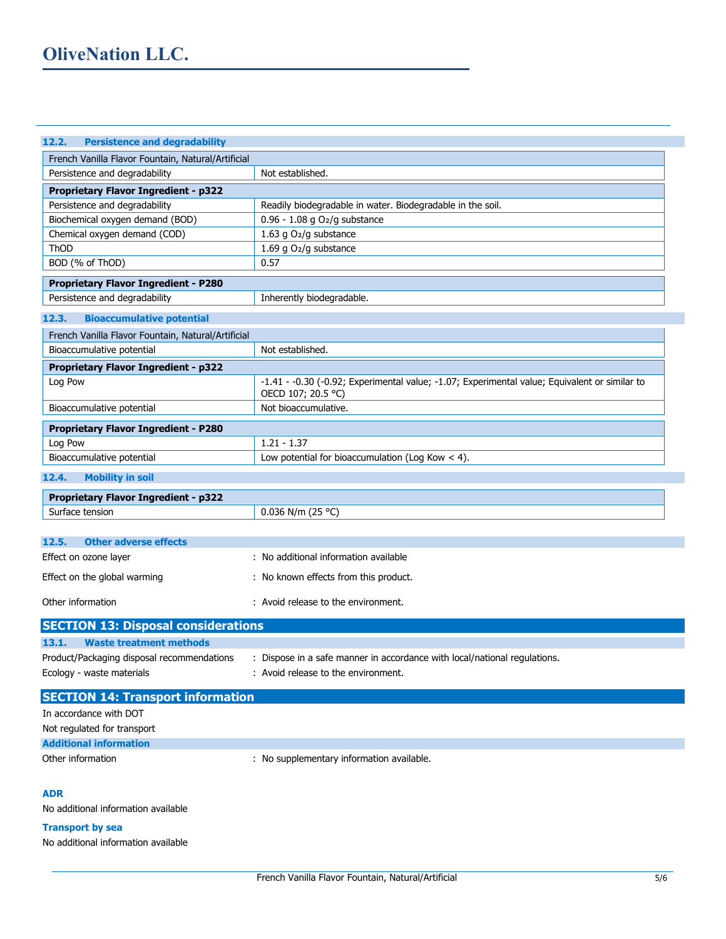| 12.2.<br><b>Persistence and degradability</b>                                |                                                                                               |  |
|------------------------------------------------------------------------------|-----------------------------------------------------------------------------------------------|--|
| French Vanilla Flavor Fountain, Natural/Artificial                           |                                                                                               |  |
| Persistence and degradability                                                | Not established.                                                                              |  |
| <b>Proprietary Flavor Ingredient - p322</b>                                  |                                                                                               |  |
| Persistence and degradability                                                | Readily biodegradable in water. Biodegradable in the soil.                                    |  |
| Biochemical oxygen demand (BOD)                                              | 0.96 - 1.08 g O2/g substance                                                                  |  |
| Chemical oxygen demand (COD)                                                 | 1.63 g O2/g substance                                                                         |  |
| <b>ThOD</b>                                                                  | 1.69 g O2/g substance                                                                         |  |
| BOD (% of ThOD)                                                              | 0.57                                                                                          |  |
| <b>Proprietary Flavor Ingredient - P280</b>                                  |                                                                                               |  |
| Persistence and degradability                                                | Inherently biodegradable.                                                                     |  |
| <b>Bioaccumulative potential</b><br>12.3.                                    |                                                                                               |  |
| French Vanilla Flavor Fountain, Natural/Artificial                           |                                                                                               |  |
| Bioaccumulative potential                                                    | Not established.                                                                              |  |
| <b>Proprietary Flavor Ingredient - p322</b>                                  |                                                                                               |  |
| Log Pow                                                                      | -1.41 - -0.30 (-0.92; Experimental value; -1.07; Experimental value; Equivalent or similar to |  |
|                                                                              | OECD 107; 20.5 °C)                                                                            |  |
| Bioaccumulative potential                                                    | Not bioaccumulative.                                                                          |  |
| <b>Proprietary Flavor Ingredient - P280</b>                                  |                                                                                               |  |
| Log Pow                                                                      | $1.21 - 1.37$                                                                                 |  |
| Bioaccumulative potential                                                    | Low potential for bioaccumulation (Log Kow $<$ 4).                                            |  |
| 12.4.<br><b>Mobility in soil</b>                                             |                                                                                               |  |
|                                                                              |                                                                                               |  |
| <b>Proprietary Flavor Ingredient - p322</b>                                  |                                                                                               |  |
| Surface tension                                                              | 0.036 N/m (25 °C)                                                                             |  |
| <b>Other adverse effects</b><br>12.5.                                        |                                                                                               |  |
| Effect on ozone layer                                                        | : No additional information available                                                         |  |
|                                                                              |                                                                                               |  |
| Effect on the global warming                                                 | : No known effects from this product.                                                         |  |
| Other information                                                            | : Avoid release to the environment.                                                           |  |
|                                                                              |                                                                                               |  |
| <b>SECTION 13: Disposal considerations</b><br><b>Waste treatment methods</b> |                                                                                               |  |
| 13.1.                                                                        |                                                                                               |  |
| Product/Packaging disposal recommendations                                   | : Dispose in a safe manner in accordance with local/national regulations.                     |  |
| Ecology - waste materials                                                    | : Avoid release to the environment.                                                           |  |
| <b>SECTION 14: Transport information</b>                                     |                                                                                               |  |
| In accordance with DOT                                                       |                                                                                               |  |
| Not regulated for transport                                                  |                                                                                               |  |
| <b>Additional information</b>                                                |                                                                                               |  |
| Other information                                                            | : No supplementary information available.                                                     |  |

### **ADR**

No additional information available

# **Transport by sea**

No additional information available